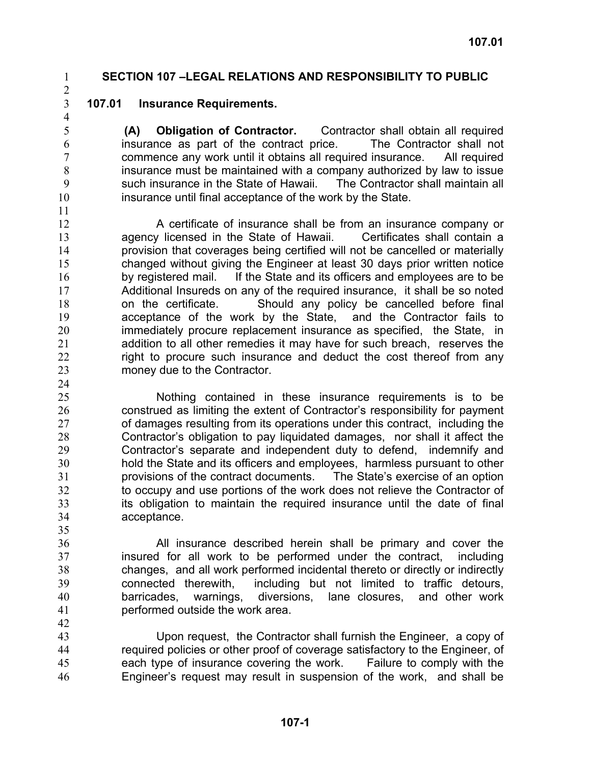### 1 **SECTION 107 –LEGAL RELATIONS AND RESPONSIBILITY TO PUBLIC**

2 3

### **107.01 Insurance Requirements.**

**(A) Obligation of Contractor.** Contractor shall obtain all required insurance as part of the contract price. The Contractor shall not commence any work until it obtains all required insurance. All required insurance must be maintained with a company authorized by law to issue such insurance in the State of Hawaii. The Contractor shall maintain all insurance until final acceptance of the work by the State.

10 11

35

42

12 13 14 15 16 17 18 19 20 21 22 23 24 A certificate of insurance shall be from an insurance company or agency licensed in the State of Hawaii. Certificates shall contain a provision that coverages being certified will not be cancelled or materially changed without giving the Engineer at least 30 days prior written notice by registered mail. If the State and its officers and employees are to be Additional Insureds on any of the required insurance, it shall be so noted on the certificate. Should any policy be cancelled before final acceptance of the work by the State, and the Contractor fails to immediately procure replacement insurance as specified, the State, in addition to all other remedies it may have for such breach, reserves the right to procure such insurance and deduct the cost thereof from any money due to the Contractor.

25 26 27 28 29 30 31 32 33 34 Nothing contained in these insurance requirements is to be construed as limiting the extent of Contractor's responsibility for payment of damages resulting from its operations under this contract, including the Contractor's obligation to pay liquidated damages, nor shall it affect the Contractor's separate and independent duty to defend, indemnify and hold the State and its officers and employees, harmless pursuant to other provisions of the contract documents. The State's exercise of an option to occupy and use portions of the work does not relieve the Contractor of its obligation to maintain the required insurance until the date of final acceptance.

36 37 38 39 40 41 All insurance described herein shall be primary and cover the insured for all work to be performed under the contract, including changes, and all work performed incidental thereto or directly or indirectly connected therewith, including but not limited to traffic detours, barricades, warnings, diversions, lane closures, and other work performed outside the work area.

43 44 45 46 Upon request, the Contractor shall furnish the Engineer, a copy of required policies or other proof of coverage satisfactory to the Engineer, of each type of insurance covering the work. Failure to comply with the Engineer's request may result in suspension of the work, and shall be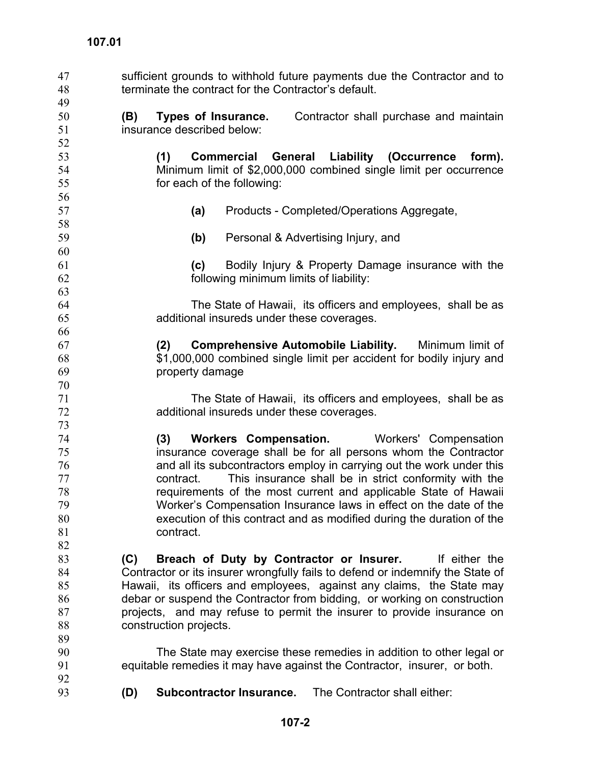sufficient grounds to withhold future payments due the Contractor and to terminate the contract for the Contractor's default. 47 48 49 50 51 52 53 54 55 56 57 58 59 60 61 62 63 64 65 66 67 68 69 70 71 72 73 74 75 76 77 78 79 80 81 82 83 84 85 86 87 88 89 90 91 92 93 **(B) Types of Insurance.** Contractor shall purchase and maintain insurance described below: **(1) Commercial General Liability (Occurrence form).** Minimum limit of \$2,000,000 combined single limit per occurrence for each of the following: **(a)** Products - Completed/Operations Aggregate, **(b)** Personal & Advertising Injury, and **(c)** Bodily Injury & Property Damage insurance with the following minimum limits of liability: The State of Hawaii, its officers and employees, shall be as additional insureds under these coverages. **(2) Comprehensive Automobile Liability.** Minimum limit of \$1,000,000 combined single limit per accident for bodily injury and property damage The State of Hawaii, its officers and employees, shall be as additional insureds under these coverages. **(3) Workers Compensation.** Workers' Compensation insurance coverage shall be for all persons whom the Contractor and all its subcontractors employ in carrying out the work under this contract. This insurance shall be in strict conformity with the requirements of the most current and applicable State of Hawaii Worker's Compensation Insurance laws in effect on the date of the execution of this contract and as modified during the duration of the contract. **(C) Breach of Duty by Contractor or Insurer.** If either the Contractor or its insurer wrongfully fails to defend or indemnify the State of Hawaii, its officers and employees, against any claims, the State may debar or suspend the Contractor from bidding, or working on construction projects, and may refuse to permit the insurer to provide insurance on construction projects. The State may exercise these remedies in addition to other legal or equitable remedies it may have against the Contractor, insurer, or both. **(D) Subcontractor Insurance.** The Contractor shall either: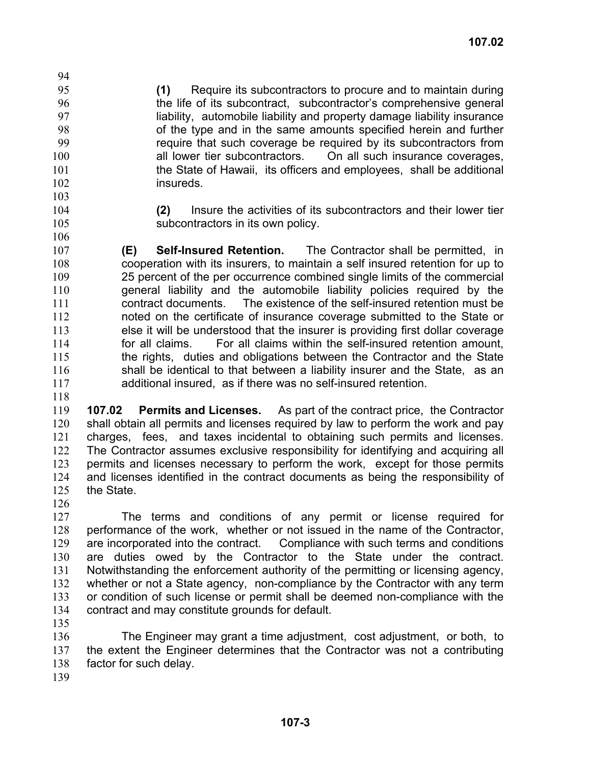95 96 97 98 99 100 101 102 **(1)** Require its subcontractors to procure and to maintain during the life of its subcontract, subcontractor's comprehensive general liability, automobile liability and property damage liability insurance of the type and in the same amounts specified herein and further require that such coverage be required by its subcontractors from all lower tier subcontractors. On all such insurance coverages, the State of Hawaii, its officers and employees, shall be additional insureds.

103

94

104 105

106

**(2)** Insure the activities of its subcontractors and their lower tier subcontractors in its own policy.

107 108 109 110 111 112 113 114 115 116 117 **(E) Self-Insured Retention.** The Contractor shall be permitted, in cooperation with its insurers, to maintain a self insured retention for up to 25 percent of the per occurrence combined single limits of the commercial general liability and the automobile liability policies required by the contract documents. The existence of the self-insured retention must be noted on the certificate of insurance coverage submitted to the State or else it will be understood that the insurer is providing first dollar coverage for all claims. For all claims within the self-insured retention amount, the rights, duties and obligations between the Contractor and the State shall be identical to that between a liability insurer and the State, as an additional insured, as if there was no self-insured retention.

118

119 120 121 122 123 124 125 126 **107.02 Permits and Licenses.** As part of the contract price, the Contractor shall obtain all permits and licenses required by law to perform the work and pay charges, fees, and taxes incidental to obtaining such permits and licenses. The Contractor assumes exclusive responsibility for identifying and acquiring all permits and licenses necessary to perform the work, except for those permits and licenses identified in the contract documents as being the responsibility of the State.

127 128 129 130 131 132 133 134 The terms and conditions of any permit or license required for performance of the work, whether or not issued in the name of the Contractor, are incorporated into the contract. Compliance with such terms and conditions are duties owed by the Contractor to the State under the contract. Notwithstanding the enforcement authority of the permitting or licensing agency, whether or not a State agency, non-compliance by the Contractor with any term or condition of such license or permit shall be deemed non-compliance with the contract and may constitute grounds for default.

135

136 137 138 The Engineer may grant a time adjustment, cost adjustment, or both, to the extent the Engineer determines that the Contractor was not a contributing factor for such delay.

139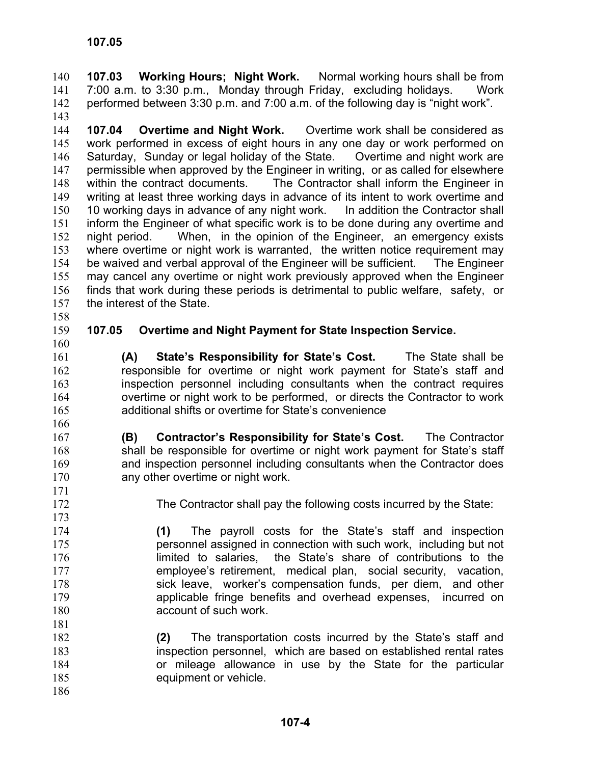**107.03 Working Hours; Night Work.** Normal working hours shall be from 7:00 a.m. to 3:30 p.m., Monday through Friday, excluding holidays. Work performed between 3:30 p.m. and 7:00 a.m. of the following day is "night work". 140 141 142

143

144 145 146 147 148 149 150 151 152 153 154 155 156 157 **107.04 Overtime and Night Work.** Overtime work shall be considered as work performed in excess of eight hours in any one day or work performed on Saturday, Sunday or legal holiday of the State. Overtime and night work are permissible when approved by the Engineer in writing, or as called for elsewhere within the contract documents. The Contractor shall inform the Engineer in writing at least three working days in advance of its intent to work overtime and 10 working days in advance of any night work. In addition the Contractor shall inform the Engineer of what specific work is to be done during any overtime and night period. When, in the opinion of the Engineer, an emergency exists where overtime or night work is warranted, the written notice requirement may be waived and verbal approval of the Engineer will be sufficient. The Engineer may cancel any overtime or night work previously approved when the Engineer finds that work during these periods is detrimental to public welfare, safety, or the interest of the State.

158 159

## **107.05 Overtime and Night Payment for State Inspection Service.**

160 161

**(A) State's Responsibility for State's Cost.** The State shall be responsible for overtime or night work payment for State's staff and inspection personnel including consultants when the contract requires overtime or night work to be performed, or directs the Contractor to work additional shifts or overtime for State's convenience

- 167 168 169 170 **(B) Contractor's Responsibility for State's Cost.** The Contractor shall be responsible for overtime or night work payment for State's staff and inspection personnel including consultants when the Contractor does any other overtime or night work.
- 172

171

173

181

The Contractor shall pay the following costs incurred by the State:

- 174 175 176 177 178 179 180 **(1)** The payroll costs for the State's staff and inspection personnel assigned in connection with such work, including but not limited to salaries, the State's share of contributions to the employee's retirement, medical plan, social security, vacation, sick leave, worker's compensation funds, per diem, and other applicable fringe benefits and overhead expenses, incurred on account of such work.
- 182 183 184 185 186 **(2)** The transportation costs incurred by the State's staff and inspection personnel, which are based on established rental rates or mileage allowance in use by the State for the particular equipment or vehicle.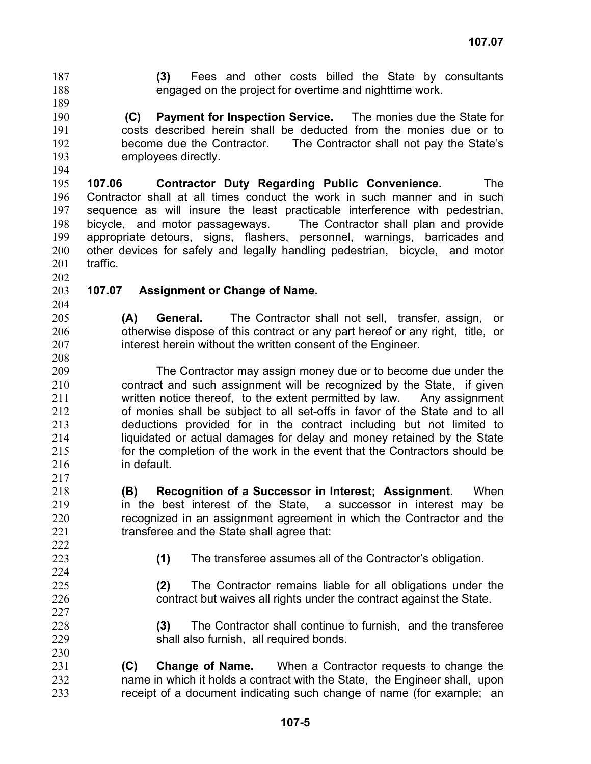**(3)** Fees and other costs billed the State by consultants engaged on the project for overtime and nighttime work. 187 188

- 189
- 190 191

192 193 194

**(C) Payment for Inspection Service.** The monies due the State for costs described herein shall be deducted from the monies due or to become due the Contractor. The Contractor shall not pay the State's employees directly.

195 196 197 198 199 200 201 **107.06 Contractor Duty Regarding Public Convenience.** The Contractor shall at all times conduct the work in such manner and in such sequence as will insure the least practicable interference with pedestrian, bicycle, and motor passageways. The Contractor shall plan and provide appropriate detours, signs, flashers, personnel, warnings, barricades and other devices for safely and legally handling pedestrian, bicycle, and motor traffic.

202

#### 203 204 **107.07 Assignment or Change of Name.**

- **(A) General.** The Contractor shall not sell, transfer, assign, or otherwise dispose of this contract or any part hereof or any right, title, or interest herein without the written consent of the Engineer.
- 209 210 211 212 213 214 215 216 217 The Contractor may assign money due or to become due under the contract and such assignment will be recognized by the State, if given written notice thereof, to the extent permitted by law. Any assignment of monies shall be subject to all set-offs in favor of the State and to all deductions provided for in the contract including but not limited to liquidated or actual damages for delay and money retained by the State for the completion of the work in the event that the Contractors should be in default.
- 218 219 220 221 222 **(B) Recognition of a Successor in Interest; Assignment.** When in the best interest of the State, a successor in interest may be recognized in an assignment agreement in which the Contractor and the transferee and the State shall agree that:
- 223 224

- **(1)** The transferee assumes all of the Contractor's obligation.
- **(2)** The Contractor remains liable for all obligations under the contract but waives all rights under the contract against the State.
- **(3)** The Contractor shall continue to furnish, and the transferee shall also furnish, all required bonds.

231 232 233 **(C) Change of Name.** When a Contractor requests to change the name in which it holds a contract with the State, the Engineer shall, upon receipt of a document indicating such change of name (for example; an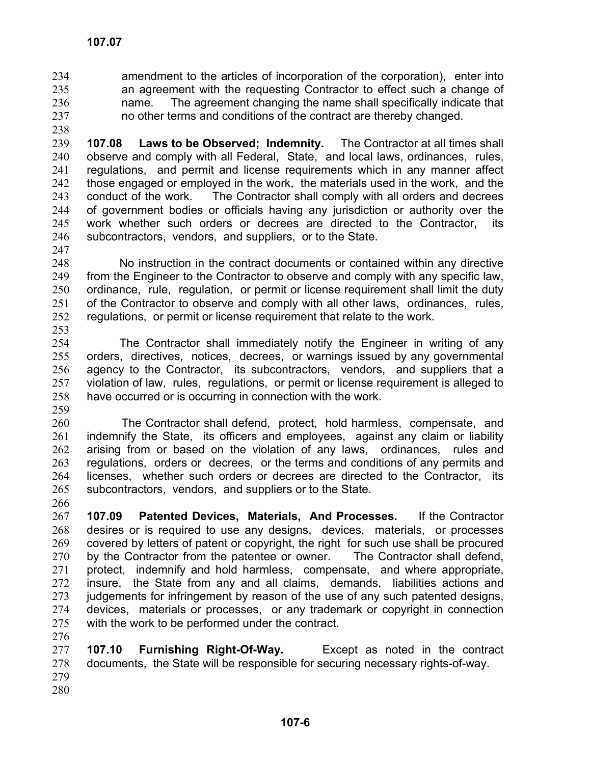- amendment to the articles of incorporation of the corporation), enter into an agreement with the requesting Contractor to effect such a change of name. The agreement changing the name shall specifically indicate that no other terms and conditions of the contract are thereby changed. 234 235 236 237
- 238

239 240 241 242 243 244 245 246 **107.08 Laws to be Observed; Indemnity.** The Contractor at all times shall observe and comply with all Federal, State, and local laws, ordinances, rules, regulations, and permit and license requirements which in any manner affect those engaged or employed in the work, the materials used in the work, and the conduct of the work. The Contractor shall comply with all orders and decrees of government bodies or officials having any jurisdiction or authority over the work whether such orders or decrees are directed to the Contractor, its subcontractors, vendors, and suppliers, or to the State.

247

248 249 250 251 252 253 No instruction in the contract documents or contained within any directive from the Engineer to the Contractor to observe and comply with any specific law, ordinance, rule, regulation, or permit or license requirement shall limit the duty of the Contractor to observe and comply with all other laws, ordinances, rules, regulations, or permit or license requirement that relate to the work.

254 255 256 257 258 The Contractor shall immediately notify the Engineer in writing of any orders, directives, notices, decrees, or warnings issued by any governmental agency to the Contractor, its subcontractors, vendors, and suppliers that a violation of law, rules, regulations, or permit or license requirement is alleged to have occurred or is occurring in connection with the work.

259

260 261 262 263 264 265 The Contractor shall defend, protect, hold harmless, compensate, and indemnify the State, its officers and employees, against any claim or liability arising from or based on the violation of any laws, ordinances, rules and regulations, orders or decrees, or the terms and conditions of any permits and licenses, whether such orders or decrees are directed to the Contractor, its subcontractors, vendors, and suppliers or to the State.

266 267 268 269 270 271 272 273 274 275 276 **107.09 Patented Devices, Materials, And Processes.** If the Contractor desires or is required to use any designs, devices, materials, or processes covered by letters of patent or copyright, the right for such use shall be procured by the Contractor from the patentee or owner. The Contractor shall defend, protect, indemnify and hold harmless, compensate, and where appropriate, insure, the State from any and all claims, demands, liabilities actions and judgements for infringement by reason of the use of any such patented designs, devices, materials or processes, or any trademark or copyright in connection with the work to be performed under the contract.

277 278 279 280 **107.10 Furnishing Right-Of-Way.** Except as noted in the contract documents, the State will be responsible for securing necessary rights-of-way.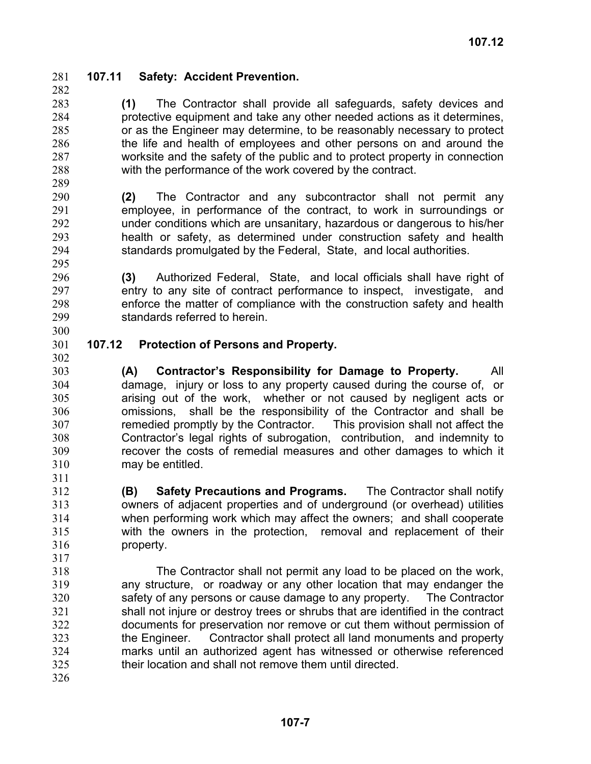282

295

# 281 **107.11 Safety: Accident Prevention.**

283 284 285 286 287 288 289 **(1)** The Contractor shall provide all safeguards, safety devices and protective equipment and take any other needed actions as it determines, or as the Engineer may determine, to be reasonably necessary to protect the life and health of employees and other persons on and around the worksite and the safety of the public and to protect property in connection with the performance of the work covered by the contract.

290 291 292 293 294 **(2)** The Contractor and any subcontractor shall not permit any employee, in performance of the contract, to work in surroundings or under conditions which are unsanitary, hazardous or dangerous to his/her health or safety, as determined under construction safety and health standards promulgated by the Federal, State, and local authorities.

296 297 298 299 300 **(3)** Authorized Federal, State, and local officials shall have right of entry to any site of contract performance to inspect, investigate, and enforce the matter of compliance with the construction safety and health standards referred to herein.

- 301 302 **107.12 Protection of Persons and Property.**
- 303 304 305 306 307 308 309 310 311 **(A) Contractor's Responsibility for Damage to Property.** All damage, injury or loss to any property caused during the course of, or arising out of the work, whether or not caused by negligent acts or omissions, shall be the responsibility of the Contractor and shall be remedied promptly by the Contractor. This provision shall not affect the Contractor's legal rights of subrogation, contribution, and indemnity to recover the costs of remedial measures and other damages to which it may be entitled.
- 312 313 314 315 316 317 **(B) Safety Precautions and Programs.** The Contractor shall notify owners of adjacent properties and of underground (or overhead) utilities when performing work which may affect the owners; and shall cooperate with the owners in the protection, removal and replacement of their property.
- 318 319 320 321 322 323 324 325 The Contractor shall not permit any load to be placed on the work, any structure, or roadway or any other location that may endanger the safety of any persons or cause damage to any property. The Contractor shall not injure or destroy trees or shrubs that are identified in the contract documents for preservation nor remove or cut them without permission of the Engineer. Contractor shall protect all land monuments and property marks until an authorized agent has witnessed or otherwise referenced their location and shall not remove them until directed.
- 326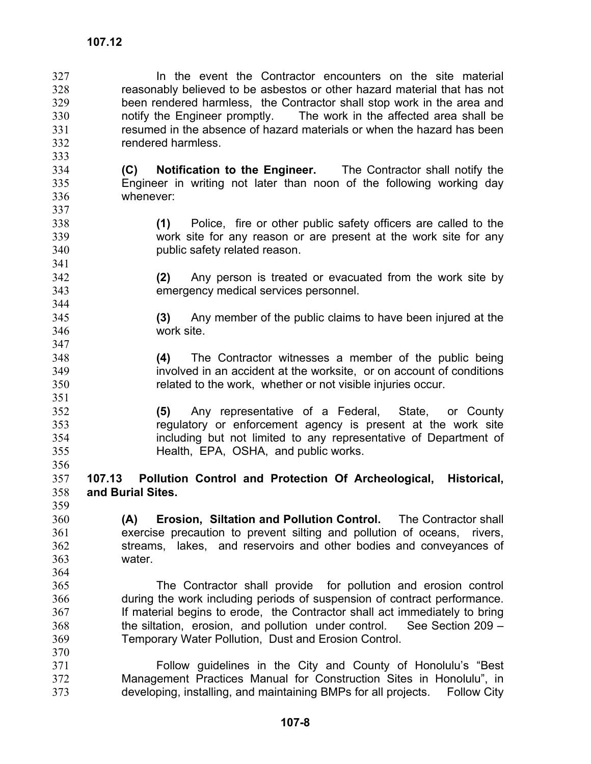341

351

356

364

In the event the Contractor encounters on the site material reasonably believed to be asbestos or other hazard material that has not been rendered harmless, the Contractor shall stop work in the area and notify the Engineer promptly. The work in the affected area shall be resumed in the absence of hazard materials or when the hazard has been rendered harmless. 327 328 329 330 331 332 333

- 334 335 336 337 **(C) Notification to the Engineer.** The Contractor shall notify the Engineer in writing not later than noon of the following working day whenever:
- 338 339 340 **(1)** Police, fire or other public safety officers are called to the work site for any reason or are present at the work site for any public safety related reason.
- 342 343 **(2)** Any person is treated or evacuated from the work site by emergency medical services personnel.
	- **(3)** Any member of the public claims to have been injured at the work site.
- 348 349 350 **(4)** The Contractor witnesses a member of the public being involved in an accident at the worksite, or on account of conditions related to the work, whether or not visible injuries occur.

352 353 354 355 **(5)** Any representative of a Federal, State, or County regulatory or enforcement agency is present at the work site including but not limited to any representative of Department of Health, EPA, OSHA, and public works.

- 357 358 359 **107.13 Pollution Control and Protection Of Archeological, Historical, and Burial Sites.**
- 360 361 362 363 **(A) Erosion, Siltation and Pollution Control.** The Contractor shall exercise precaution to prevent silting and pollution of oceans, rivers, streams, lakes, and reservoirs and other bodies and conveyances of water.
- 365 366 367 368 369 370 The Contractor shall provide for pollution and erosion control during the work including periods of suspension of contract performance. If material begins to erode, the Contractor shall act immediately to bring the siltation, erosion, and pollution under control. See Section 209 – Temporary Water Pollution, Dust and Erosion Control.
- 371 372 373 Follow guidelines in the City and County of Honolulu's "Best Management Practices Manual for Construction Sites in Honolulu", in developing, installing, and maintaining BMPs for all projects. Follow City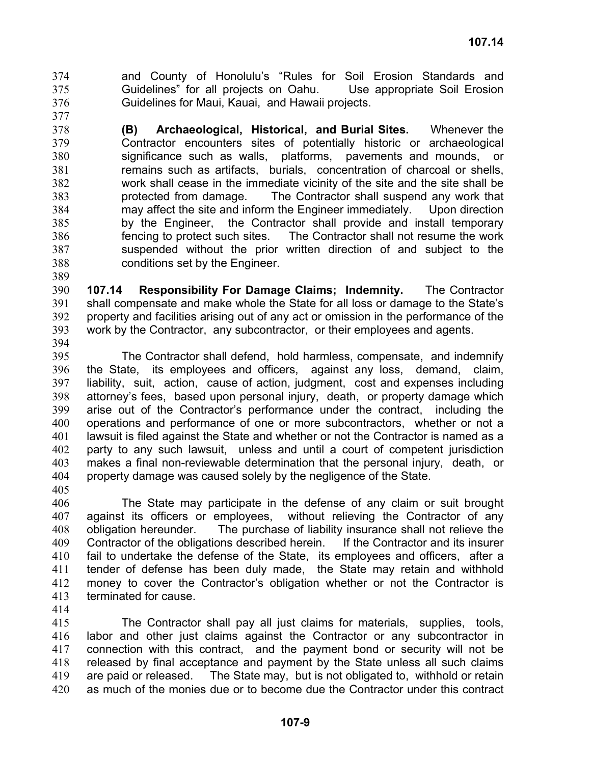and County of Honolulu's "Rules for Soil Erosion Standards and Guidelines" for all projects on Oahu. Use appropriate Soil Erosion Guidelines for Maui, Kauai, and Hawaii projects. 374 375 376

378 379 380 381 382 383 384 385 386 387 388 **(B) Archaeological, Historical, and Burial Sites.** Whenever the Contractor encounters sites of potentially historic or archaeological significance such as walls, platforms, pavements and mounds, or remains such as artifacts, burials, concentration of charcoal or shells, work shall cease in the immediate vicinity of the site and the site shall be protected from damage. The Contractor shall suspend any work that may affect the site and inform the Engineer immediately. Upon direction by the Engineer, the Contractor shall provide and install temporary fencing to protect such sites. The Contractor shall not resume the work suspended without the prior written direction of and subject to the conditions set by the Engineer.

390 391 392 393 **107.14 Responsibility For Damage Claims; Indemnity.** The Contractor shall compensate and make whole the State for all loss or damage to the State's property and facilities arising out of any act or omission in the performance of the work by the Contractor, any subcontractor, or their employees and agents.

394

389

377

395 396 397 398 399 400 401 402 403 404 The Contractor shall defend, hold harmless, compensate, and indemnify the State, its employees and officers, against any loss, demand, claim, liability, suit, action, cause of action, judgment, cost and expenses including attorney's fees, based upon personal injury, death, or property damage which arise out of the Contractor's performance under the contract, including the operations and performance of one or more subcontractors, whether or not a lawsuit is filed against the State and whether or not the Contractor is named as a party to any such lawsuit, unless and until a court of competent jurisdiction makes a final non-reviewable determination that the personal injury, death, or property damage was caused solely by the negligence of the State.

405

406 407 408 409 410 411 412 413 The State may participate in the defense of any claim or suit brought against its officers or employees, without relieving the Contractor of any obligation hereunder. The purchase of liability insurance shall not relieve the Contractor of the obligations described herein. If the Contractor and its insurer fail to undertake the defense of the State, its employees and officers, after a tender of defense has been duly made, the State may retain and withhold money to cover the Contractor's obligation whether or not the Contractor is terminated for cause.

414

415 416 417 418 419 420 The Contractor shall pay all just claims for materials, supplies, tools, labor and other just claims against the Contractor or any subcontractor in connection with this contract, and the payment bond or security will not be released by final acceptance and payment by the State unless all such claims are paid or released. The State may, but is not obligated to, withhold or retain as much of the monies due or to become due the Contractor under this contract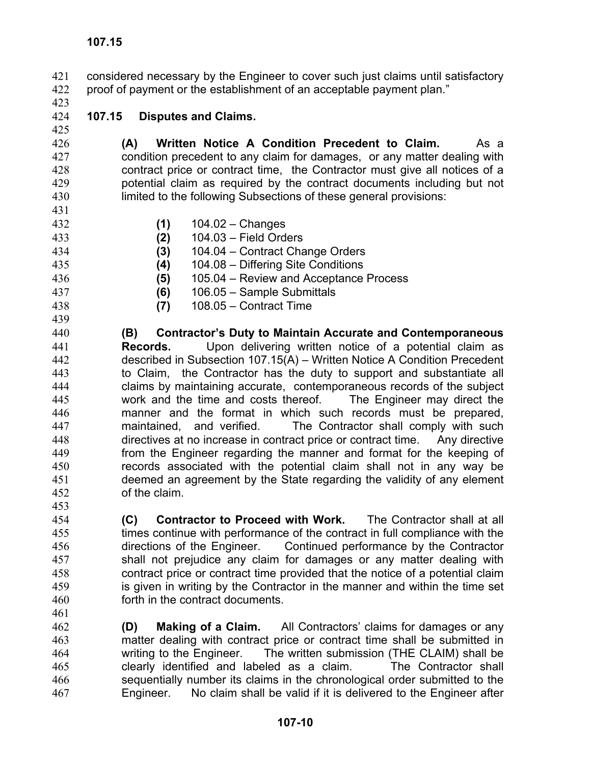considered necessary by the Engineer to cover such just claims until satisfactory proof of payment or the establishment of an acceptable payment plan." 421 422

423

#### 424 425 **107.15 Disputes and Claims.**

- 426 427 428 429 430 **(A) Written Notice A Condition Precedent to Claim.** As a condition precedent to any claim for damages, or any matter dealing with contract price or contract time, the Contractor must give all notices of a potential claim as required by the contract documents including but not limited to the following Subsections of these general provisions:
- 431 432 **(1)** 104.02 – Changes
	- **(2)** 104.03 Field Orders
- 434 **(3)** 104.04 – Contract Change Orders
- 435 **(4)** 104.08 – Differing Site Conditions
- 436 **(5)** 105.04 – Review and Acceptance Process
	- **(6)** 106.05 Sample Submittals
- 438 **(7)** 108.05 – Contract Time
- 439

461

437

433

- 440 441 442 443 444 445 446 447 448 449 450 451 452 453 **(B) Contractor's Duty to Maintain Accurate and Contemporaneous Records.** Upon delivering written notice of a potential claim as described in Subsection 107.15(A) – Written Notice A Condition Precedent to Claim, the Contractor has the duty to support and substantiate all claims by maintaining accurate, contemporaneous records of the subject work and the time and costs thereof. The Engineer may direct the manner and the format in which such records must be prepared, maintained, and verified. The Contractor shall comply with such directives at no increase in contract price or contract time. Any directive from the Engineer regarding the manner and format for the keeping of records associated with the potential claim shall not in any way be deemed an agreement by the State regarding the validity of any element of the claim.
- 454 455 456 457 458 459 460 **(C) Contractor to Proceed with Work.** The Contractor shall at all times continue with performance of the contract in full compliance with the directions of the Engineer. Continued performance by the Contractor shall not prejudice any claim for damages or any matter dealing with contract price or contract time provided that the notice of a potential claim is given in writing by the Contractor in the manner and within the time set forth in the contract documents.
- 462 463 464 465 466 467 **(D) Making of a Claim.** All Contractors' claims for damages or any matter dealing with contract price or contract time shall be submitted in writing to the Engineer. The written submission (THE CLAIM) shall be clearly identified and labeled as a claim. The Contractor shall sequentially number its claims in the chronological order submitted to the Engineer. No claim shall be valid if it is delivered to the Engineer after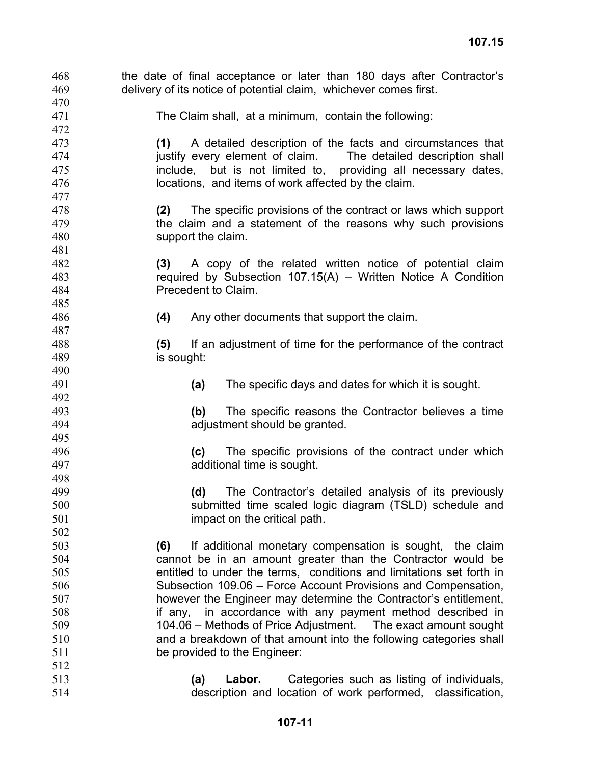| 468 | the date of final acceptance or later than 180 days after Contractor's |
|-----|------------------------------------------------------------------------|
| 469 | delivery of its notice of potential claim, whichever comes first.      |
| 470 |                                                                        |
| 471 | The Claim shall, at a minimum, contain the following:                  |
| 472 |                                                                        |
| 473 | A detailed description of the facts and circumstances that<br>(1)      |
| 474 | justify every element of claim. The detailed description shall         |
| 475 | include, but is not limited to, providing all necessary dates,         |
| 476 | locations, and items of work affected by the claim.                    |
| 477 |                                                                        |
| 478 | The specific provisions of the contract or laws which support<br>(2)   |
| 479 | the claim and a statement of the reasons why such provisions           |
| 480 | support the claim.                                                     |
| 481 |                                                                        |
| 482 | A copy of the related written notice of potential claim<br>(3)         |
| 483 | required by Subsection $107.15(A)$ – Written Notice A Condition        |
| 484 | Precedent to Claim.                                                    |
| 485 |                                                                        |
| 486 | Any other documents that support the claim.<br>(4)                     |
| 487 |                                                                        |
| 488 | If an adjustment of time for the performance of the contract<br>(5)    |
| 489 | is sought:                                                             |
| 490 |                                                                        |
| 491 | The specific days and dates for which it is sought.<br>(a)             |
| 492 |                                                                        |
| 493 | (b)<br>The specific reasons the Contractor believes a time             |
| 494 | adjustment should be granted.                                          |
| 495 |                                                                        |
| 496 | The specific provisions of the contract under which<br>(c)             |
| 497 | additional time is sought.                                             |
| 498 |                                                                        |
| 499 | The Contractor's detailed analysis of its previously<br>(d)            |
| 500 | submitted time scaled logic diagram (TSLD) schedule and                |
| 501 | impact on the critical path.                                           |
| 502 |                                                                        |
| 503 | If additional monetary compensation is sought, the claim<br>(6)        |
| 504 | cannot be in an amount greater than the Contractor would be            |
| 505 | entitled to under the terms, conditions and limitations set forth in   |
| 506 | Subsection 109.06 – Force Account Provisions and Compensation,         |
| 507 | however the Engineer may determine the Contractor's entitlement,       |
| 508 | if any, in accordance with any payment method described in             |
| 509 | 104.06 - Methods of Price Adjustment. The exact amount sought          |
| 510 | and a breakdown of that amount into the following categories shall     |
| 511 | be provided to the Engineer:                                           |
| 512 |                                                                        |
| 513 | Categories such as listing of individuals,<br>(a)<br>Labor.            |
| 514 | description and location of work performed, classification,            |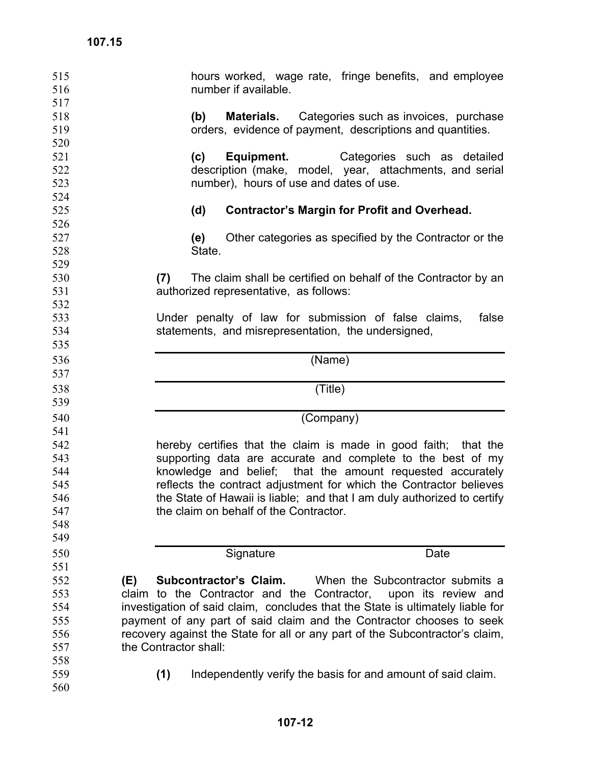| 515<br>516               | hours worked, wage rate, fringe benefits, and employee<br>number if available.                                                                             |
|--------------------------|------------------------------------------------------------------------------------------------------------------------------------------------------------|
| 517<br>518<br>519<br>520 | <b>Materials.</b> Categories such as invoices, purchase<br>(b)<br>orders, evidence of payment, descriptions and quantities.                                |
| 521<br>522<br>523        | (c)<br><b>Equipment.</b> Categories such as detailed<br>description (make, model, year, attachments, and serial<br>number), hours of use and dates of use. |
| 524<br>525               | (d)<br><b>Contractor's Margin for Profit and Overhead.</b>                                                                                                 |
| 526                      |                                                                                                                                                            |
| 527                      | Other categories as specified by the Contractor or the<br>(e)                                                                                              |
| 528                      | State.                                                                                                                                                     |
| 529                      |                                                                                                                                                            |
| 530                      | (7)<br>The claim shall be certified on behalf of the Contractor by an                                                                                      |
| 531                      | authorized representative, as follows:                                                                                                                     |
| 532                      |                                                                                                                                                            |
| 533                      | Under penalty of law for submission of false claims,<br>false                                                                                              |
| 534                      | statements, and misrepresentation, the undersigned,                                                                                                        |
| 535                      |                                                                                                                                                            |
| 536                      | (Name)                                                                                                                                                     |
| 537                      |                                                                                                                                                            |
| 538                      | (Title)                                                                                                                                                    |
| 539                      |                                                                                                                                                            |
|                          |                                                                                                                                                            |
|                          |                                                                                                                                                            |
| 540                      | (Company)                                                                                                                                                  |
| 541                      |                                                                                                                                                            |
| 542                      | hereby certifies that the claim is made in good faith; that the                                                                                            |
| 543                      | supporting data are accurate and complete to the best of my                                                                                                |
| 544                      | knowledge and belief; that the amount requested accurately                                                                                                 |
| 545                      | reflects the contract adjustment for which the Contractor believes                                                                                         |
| 546<br>547               | the State of Hawaii is liable; and that I am duly authorized to certify<br>the claim on behalf of the Contractor.                                          |
| 548                      |                                                                                                                                                            |
| 549                      |                                                                                                                                                            |
|                          |                                                                                                                                                            |
| 550                      | Date<br>Signature                                                                                                                                          |
| 551                      |                                                                                                                                                            |
| 552                      | Subcontractor's Claim.<br>When the Subcontractor submits a<br>(E)                                                                                          |
| 553                      | claim to the Contractor and the Contractor,<br>upon its review and                                                                                         |
| 554<br>555               | investigation of said claim, concludes that the State is ultimately liable for<br>payment of any part of said claim and the Contractor chooses to seek     |
| 556                      | recovery against the State for all or any part of the Subcontractor's claim,                                                                               |
| 557                      | the Contractor shall:                                                                                                                                      |
| 558                      |                                                                                                                                                            |
| 559                      | Independently verify the basis for and amount of said claim.<br>(1)                                                                                        |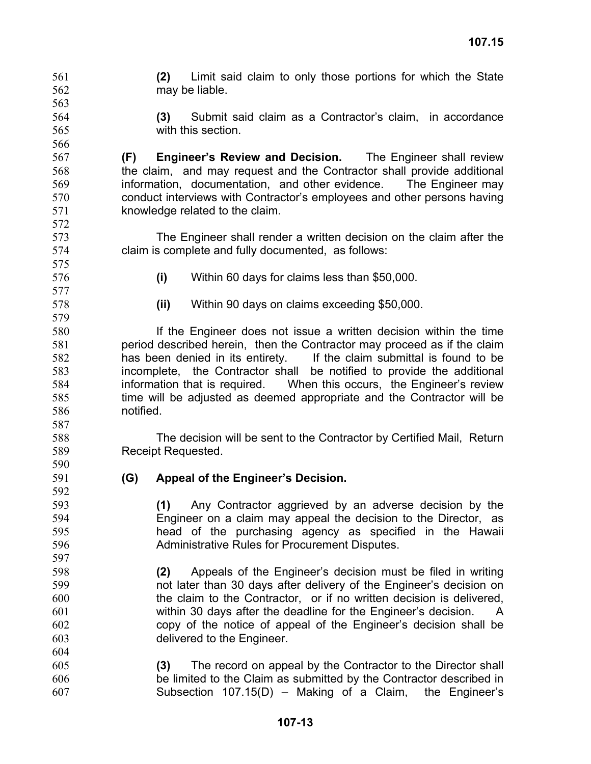may be liable. 562 563 564 565 566 567 568 569 570 571 572 573 574 575 576 577 578 579 580 581 582 583 584 585 586 587 588 589 590 591 592 593 594 595 596 597 598 599 600 601 602 603 604 605 606 607 **(3)** Submit said claim as a Contractor's claim, in accordance with this section **(F) Engineer's Review and Decision.** The Engineer shall review the claim, and may request and the Contractor shall provide additional information, documentation, and other evidence. The Engineer may conduct interviews with Contractor's employees and other persons having knowledge related to the claim. The Engineer shall render a written decision on the claim after the claim is complete and fully documented, as follows: **(i)** Within 60 days for claims less than \$50,000. **(ii)** Within 90 days on claims exceeding \$50,000. If the Engineer does not issue a written decision within the time period described herein, then the Contractor may proceed as if the claim has been denied in its entirety. If the claim submittal is found to be incomplete, the Contractor shall be notified to provide the additional information that is required. When this occurs, the Engineer's review time will be adjusted as deemed appropriate and the Contractor will be notified. The decision will be sent to the Contractor by Certified Mail, Return Receipt Requested. **(G) Appeal of the Engineer's Decision. (1)** Any Contractor aggrieved by an adverse decision by the Engineer on a claim may appeal the decision to the Director, as head of the purchasing agency as specified in the Hawaii Administrative Rules for Procurement Disputes. **(2)** Appeals of the Engineer's decision must be filed in writing not later than 30 days after delivery of the Engineer's decision on the claim to the Contractor, or if no written decision is delivered, within 30 days after the deadline for the Engineer's decision. A copy of the notice of appeal of the Engineer's decision shall be delivered to the Engineer. **(3)** The record on appeal by the Contractor to the Director shall be limited to the Claim as submitted by the Contractor described in Subsection 107.15(D) – Making of a Claim, the Engineer's

**(2)** Limit said claim to only those portions for which the State

561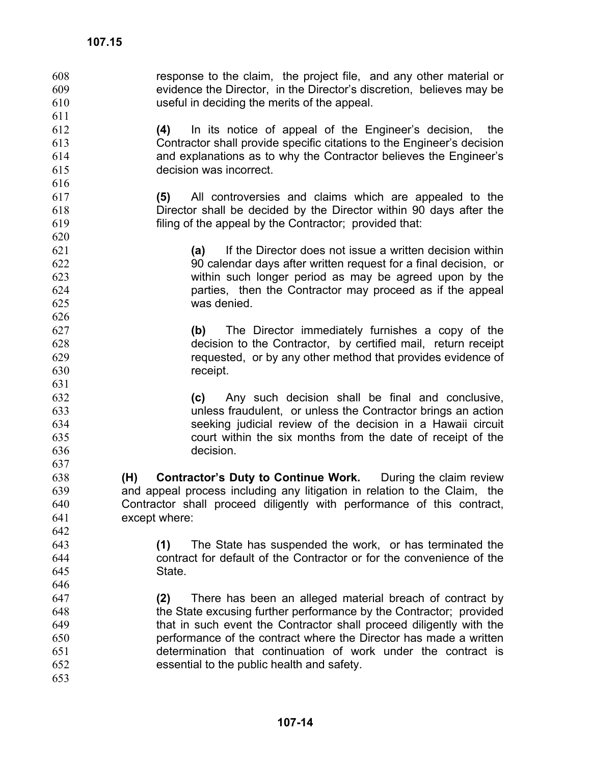| 608<br>609<br>610<br>611 | response to the claim, the project file, and any other material or<br>evidence the Director, in the Director's discretion, believes may be<br>useful in deciding the merits of the appeal. |
|--------------------------|--------------------------------------------------------------------------------------------------------------------------------------------------------------------------------------------|
| 612                      | In its notice of appeal of the Engineer's decision, the<br>(4)                                                                                                                             |
| 613                      | Contractor shall provide specific citations to the Engineer's decision                                                                                                                     |
| 614                      | and explanations as to why the Contractor believes the Engineer's                                                                                                                          |
| 615                      | decision was incorrect.                                                                                                                                                                    |
| 616                      |                                                                                                                                                                                            |
| 617                      | All controversies and claims which are appealed to the<br>(5)                                                                                                                              |
| 618                      | Director shall be decided by the Director within 90 days after the                                                                                                                         |
| 619                      | filing of the appeal by the Contractor; provided that:                                                                                                                                     |
| 620                      |                                                                                                                                                                                            |
| 621                      | If the Director does not issue a written decision within<br>(a)                                                                                                                            |
| 622                      | 90 calendar days after written request for a final decision, or                                                                                                                            |
| 623                      | within such longer period as may be agreed upon by the                                                                                                                                     |
| 624                      | parties, then the Contractor may proceed as if the appeal                                                                                                                                  |
| 625                      | was denied.                                                                                                                                                                                |
| 626                      |                                                                                                                                                                                            |
| 627                      | (b) The Director immediately furnishes a copy of the                                                                                                                                       |
| 628                      | decision to the Contractor, by certified mail, return receipt                                                                                                                              |
| 629                      | requested, or by any other method that provides evidence of                                                                                                                                |
| 630                      | receipt.                                                                                                                                                                                   |
| 631                      |                                                                                                                                                                                            |
| 632                      | (c) Any such decision shall be final and conclusive,                                                                                                                                       |
| 633                      | unless fraudulent, or unless the Contractor brings an action                                                                                                                               |
| 634                      | seeking judicial review of the decision in a Hawaii circuit                                                                                                                                |
| 635                      | court within the six months from the date of receipt of the                                                                                                                                |
| 636                      | decision.                                                                                                                                                                                  |
| 637                      |                                                                                                                                                                                            |
| 638                      | <b>Contractor's Duty to Continue Work.</b> During the claim review<br>(H)                                                                                                                  |
| 639                      | and appeal process including any litigation in relation to the Claim, the                                                                                                                  |
| 640                      | Contractor shall proceed diligently with performance of this contract,                                                                                                                     |
| 641                      | except where:                                                                                                                                                                              |
| 642                      |                                                                                                                                                                                            |
| 643                      | The State has suspended the work, or has terminated the<br>(1)                                                                                                                             |
| 644                      | contract for default of the Contractor or for the convenience of the                                                                                                                       |
| 645                      | State.                                                                                                                                                                                     |
| 646                      |                                                                                                                                                                                            |
| 647                      | There has been an alleged material breach of contract by<br>(2)                                                                                                                            |
| 648                      | the State excusing further performance by the Contractor; provided                                                                                                                         |
| 649                      | that in such event the Contractor shall proceed diligently with the                                                                                                                        |
| 650                      | performance of the contract where the Director has made a written                                                                                                                          |
| 651                      | determination that continuation of work under the contract is                                                                                                                              |
| 652                      | essential to the public health and safety.                                                                                                                                                 |
| 653                      |                                                                                                                                                                                            |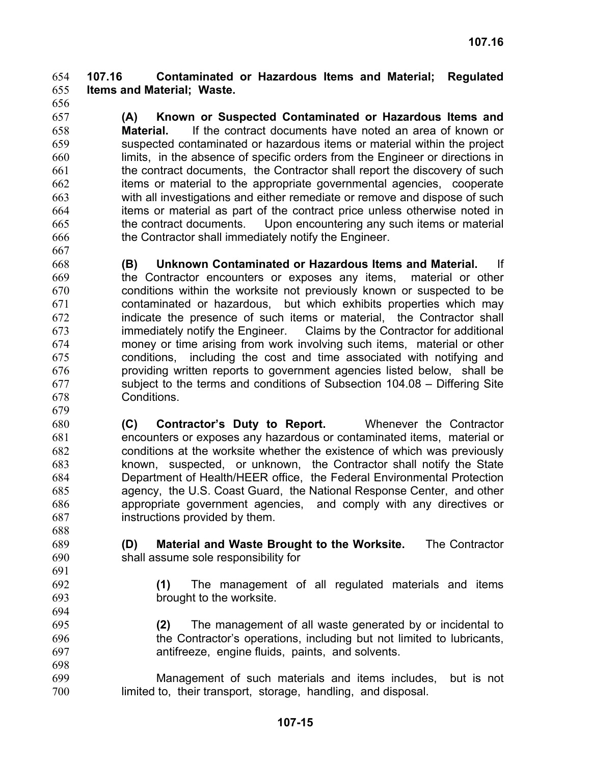#### **107.16 Contaminated or Hazardous Items and Material; Regulated Items and Material; Waste.** 654 655

656 657

667

679

688

658 659 660 661 662 663 664 665 666 **(A) Known or Suspected Contaminated or Hazardous Items and Material.** If the contract documents have noted an area of known or suspected contaminated or hazardous items or material within the project limits, in the absence of specific orders from the Engineer or directions in the contract documents, the Contractor shall report the discovery of such items or material to the appropriate governmental agencies, cooperate with all investigations and either remediate or remove and dispose of such items or material as part of the contract price unless otherwise noted in the contract documents. Upon encountering any such items or material the Contractor shall immediately notify the Engineer.

- 668 669 670 671 672 673 674 675 676 677 678 **(B) Unknown Contaminated or Hazardous Items and Material.** If the Contractor encounters or exposes any items, material or other conditions within the worksite not previously known or suspected to be contaminated or hazardous, but which exhibits properties which may indicate the presence of such items or material, the Contractor shall immediately notify the Engineer. Claims by the Contractor for additional money or time arising from work involving such items, material or other conditions, including the cost and time associated with notifying and providing written reports to government agencies listed below, shall be subject to the terms and conditions of Subsection 104.08 – Differing Site Conditions.
- 680 681 682 683 684 685 686 687 **(C) Contractor's Duty to Report.** Whenever the Contractor encounters or exposes any hazardous or contaminated items, material or conditions at the worksite whether the existence of which was previously known, suspected, or unknown, the Contractor shall notify the State Department of Health/HEER office, the Federal Environmental Protection agency, the U.S. Coast Guard, the National Response Center, and other appropriate government agencies, and comply with any directives or instructions provided by them.
- 689 690 **(D) Material and Waste Brought to the Worksite.** The Contractor shall assume sole responsibility for
	- **(1)** The management of all regulated materials and items brought to the worksite.
- 695 696 697 698 **(2)** The management of all waste generated by or incidental to the Contractor's operations, including but not limited to lubricants, antifreeze, engine fluids, paints, and solvents.
- 699 700 Management of such materials and items includes, but is not limited to, their transport, storage, handling, and disposal.